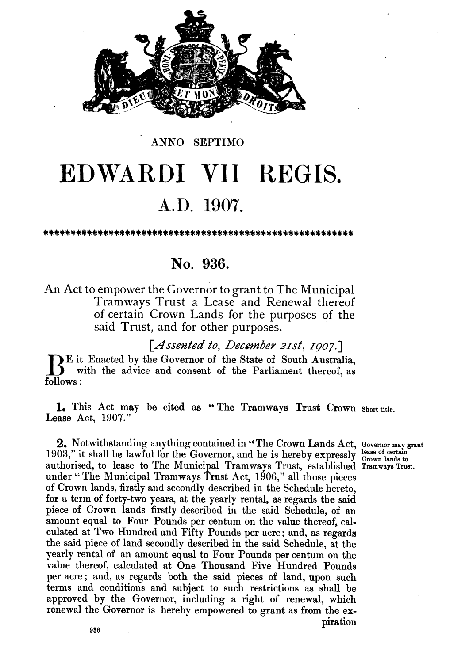

#### ANNO SEPTIMO

# **EDWARDI** VII REGIS. **A.D. 1907.**

## **No. 936.**

An Act to empower the Governor to grant to The Municipal Tramways Trust a Lease and Renewal thereof of certain Crown Lands for the purposes of the said Trust, and for other purposes.

[Assented to, December 21st, 1907.]

E it Enacted by the Governor of the State of South Australia, with the advice and consent of the Parliament thereof, as follows :

**1.** This Act may be cited **ae** " The Tramways Trust Crown **Short** title. Lease Act, 1907."

**2,** Notwithstanding anything contained in "The Crown Lands Act, **Governor map \*ant**  1903," it shall be lawful for the Governor, and he is hereby expressly **crown** lands to authorised, to lease to The Municipal Tramways Trust, established **Tramways Trust.**  under "The Municipal Tramways Trust Act, 1906," all those pieces of Crown lands, firstly arid secondly described in the Schedule hereto, for a term of forty-two years, at **the** yearly rental, as regards the said piece of Crown lands firstly described in the said Schedule, of an amount equal to Four Pounds per centum on the value thereof, calculated at Two Hundred and Fifty Pounds per acre; and, as regards the said piece of land secondly described in the said Schedule, at the yearly rental of an amount equal to Four Pounds per centum on the value thereof, calculated at One Thousand Five Hundred Pounds per acre ; and, as regards both the said pieces of land, upon such terms and conditions and subject to such restrictions as shall be approved by the Governor, including a right of renewal, which renewal the Governor is hereby empowered to grant as from the expiration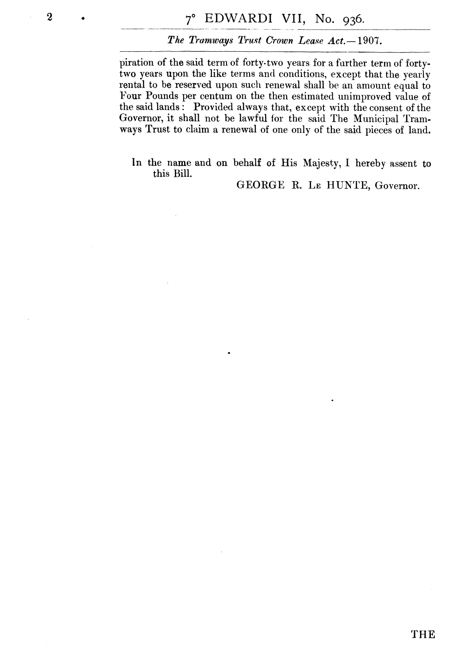### The Tramways Trust Crown Lease Act. - 1907.

piration of the said term of forty- two years for a further term of fortytwo years upon the like terms and conditions, except that the yearly rental to be reserved upon such renewal shall be an amount equal to Four Pounds per centum on the then estimated unimproved value of the said lands : Provided always that, except with the consent of the Governor, it shall not be lawful for the said The Municipal Tramways Trust to claim a renewal of one only of the said pieces of land.

In the name and on behalf of His Majesty, I hereby assent to this Bill.

GEORGE R. LE HUNTE, Governor.